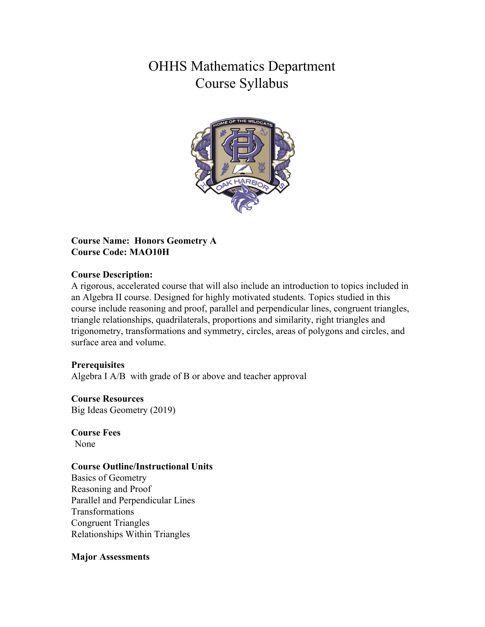# OHHS Mathematics Department Course Syllabus



## **Course Name: Honors Geometry A Course Code: MAO10H**

#### **Course Description:**

A rigorous, accelerated course that will also include an introduction to topics included in an Algebra II course. Designed for highly motivated students. Topics studied in this course include reasoning and proof, parallel and perpendicular lines, congruent triangles, triangle relationships, quadrilaterals, proportions and similarity, right triangles and trigonometry, transformations and symmetry, circles, areas of polygons and circles, and surface area and volume.

## **Prerequisites**

Algebra I A/B with grade of B or above and teacher approval

#### **Course Resources** Big Ideas Geometry (2019)

**Course Fees** None

## **Course Outline/Instructional Units**

Basics of Geometry Reasoning and Proof Parallel and Perpendicular Lines Transformations Congruent Triangles Relationships Within Triangles

#### **Major Assessments**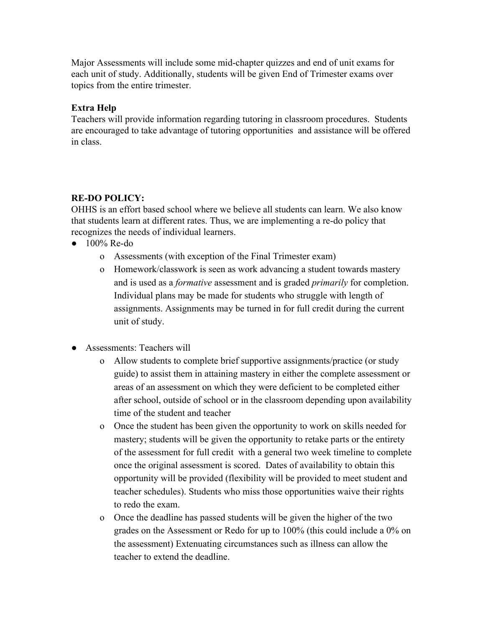Major Assessments will include some mid-chapter quizzes and end of unit exams for each unit of study. Additionally, students will be given End of Trimester exams over topics from the entire trimester.

# **Extra Help**

Teachers will provide information regarding tutoring in classroom procedures. Students are encouraged to take advantage of tutoring opportunities and assistance will be offered in class.

# **RE-DO POLICY:**

OHHS is an effort based school where we believe all students can learn. We also know that students learn at different rates. Thus, we are implementing a re-do policy that recognizes the needs of individual learners.

- $\bullet$  100% Re-do
	- o Assessments (with exception of the Final Trimester exam)
	- o Homework/classwork is seen as work advancing a student towards mastery and is used as a *formative* assessment and is graded *primarily* for completion. Individual plans may be made for students who struggle with length of assignments. Assignments may be turned in for full credit during the current unit of study.
- Assessments: Teachers will
	- o Allow students to complete brief supportive assignments/practice (or study guide) to assist them in attaining mastery in either the complete assessment or areas of an assessment on which they were deficient to be completed either after school, outside of school or in the classroom depending upon availability time of the student and teacher
	- o Once the student has been given the opportunity to work on skills needed for mastery; students will be given the opportunity to retake parts or the entirety of the assessment for full credit with a general two week timeline to complete once the original assessment is scored. Dates of availability to obtain this opportunity will be provided (flexibility will be provided to meet student and teacher schedules). Students who miss those opportunities waive their rights to redo the exam.
	- o Once the deadline has passed students will be given the higher of the two grades on the Assessment or Redo for up to 100% (this could include a 0% on the assessment) Extenuating circumstances such as illness can allow the teacher to extend the deadline.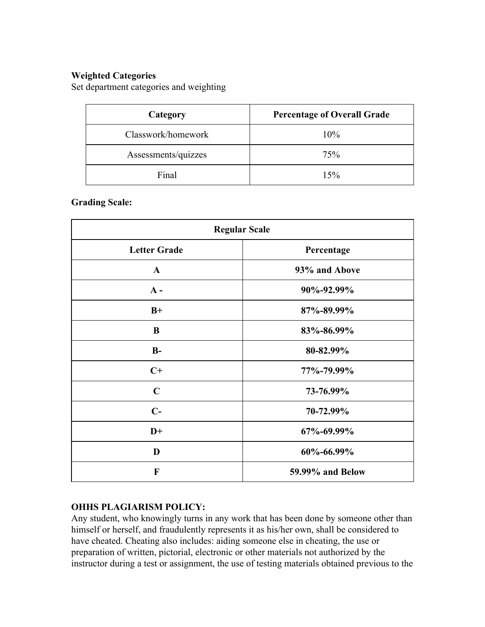# **Weighted Categories**

Set department categories and weighting

| Category            | <b>Percentage of Overall Grade</b> |
|---------------------|------------------------------------|
| Classwork/homework  | 10%                                |
| Assessments/quizzes | 75%                                |
| Final               | 15%                                |

# **Grading Scale:**

| <b>Regular Scale</b> |                  |
|----------------------|------------------|
| <b>Letter Grade</b>  | Percentage       |
| $\mathbf{A}$         | 93% and Above    |
| $A -$                | 90%-92.99%       |
| $B+$                 | 87%-89.99%       |
| B                    | 83%-86.99%       |
| $B-$                 | 80-82.99%        |
| $C+$                 | 77%-79.99%       |
| $\mathbf C$          | 73-76.99%        |
| $C-$                 | 70-72.99%        |
| $D+$                 | 67%-69.99%       |
| D                    | 60%-66.99%       |
| F                    | 59.99% and Below |

## **OHHS PLAGIARISM POLICY:**

Any student, who knowingly turns in any work that has been done by someone other than himself or herself, and fraudulently represents it as his/her own, shall be considered to have cheated. Cheating also includes: aiding someone else in cheating, the use or preparation of written, pictorial, electronic or other materials not authorized by the instructor during a test or assignment, the use of testing materials obtained previous to the